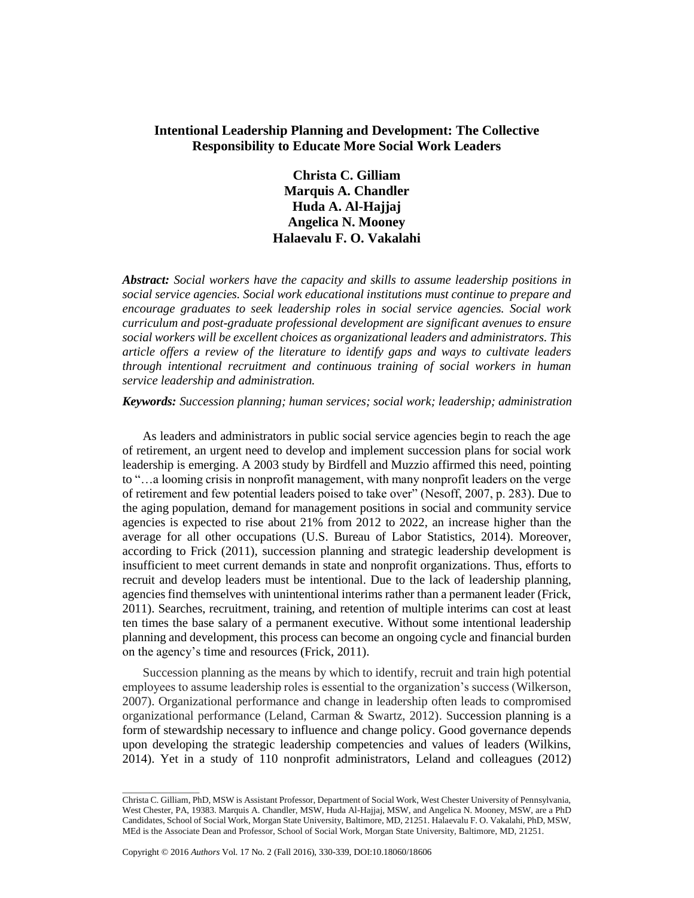# **Intentional Leadership Planning and Development: The Collective Responsibility to Educate More Social Work Leaders**

**Christa C. Gilliam Marquis A. Chandler Huda A. Al-Hajjaj Angelica N. Mooney Halaevalu F. O. Vakalahi**

*Abstract: Social workers have the capacity and skills to assume leadership positions in social service agencies. Social work educational institutions must continue to prepare and encourage graduates to seek leadership roles in social service agencies. Social work curriculum and post-graduate professional development are significant avenues to ensure social workers will be excellent choices as organizational leaders and administrators. This article offers a review of the literature to identify gaps and ways to cultivate leaders through intentional recruitment and continuous training of social workers in human service leadership and administration.* 

*Keywords: Succession planning; human services; social work; leadership; administration* 

As leaders and administrators in public social service agencies begin to reach the age of retirement, an urgent need to develop and implement succession plans for social work leadership is emerging. A 2003 study by Birdfell and Muzzio affirmed this need, pointing to "…a looming crisis in nonprofit management, with many nonprofit leaders on the verge of retirement and few potential leaders poised to take over" (Nesoff, 2007, p. 283). Due to the aging population, demand for management positions in social and community service agencies is expected to rise about 21% from 2012 to 2022, an increase higher than the average for all other occupations (U.S. Bureau of Labor Statistics, 2014). Moreover, according to Frick (2011), succession planning and strategic leadership development is insufficient to meet current demands in state and nonprofit organizations. Thus, efforts to recruit and develop leaders must be intentional. Due to the lack of leadership planning, agencies find themselves with unintentional interims rather than a permanent leader (Frick, 2011). Searches, recruitment, training, and retention of multiple interims can cost at least ten times the base salary of a permanent executive. Without some intentional leadership planning and development, this process can become an ongoing cycle and financial burden on the agency's time and resources (Frick, 2011).

Succession planning as the means by which to identify, recruit and train high potential employees to assume leadership roles is essential to the organization's success (Wilkerson, 2007). Organizational performance and change in leadership often leads to compromised organizational performance (Leland, Carman & Swartz, 2012). Succession planning is a form of stewardship necessary to influence and change policy. Good governance depends upon developing the strategic leadership competencies and values of leaders (Wilkins, 2014). Yet in a study of 110 nonprofit administrators, Leland and colleagues (2012)

 $\overline{\phantom{a}}$  , where  $\overline{\phantom{a}}$ 

Christa C. Gilliam, PhD, MSW is Assistant Professor, Department of Social Work, West Chester University of Pennsylvania, West Chester, PA, 19383. Marquis A. Chandler, MSW, Huda Al-Hajjaj, MSW, and Angelica N. Mooney, MSW, are a PhD Candidates, School of Social Work, Morgan State University, Baltimore, MD, 21251. Halaevalu F. O. Vakalahi, PhD, MSW, MEd is the Associate Dean and Professor, School of Social Work, Morgan State University, Baltimore, MD, 21251.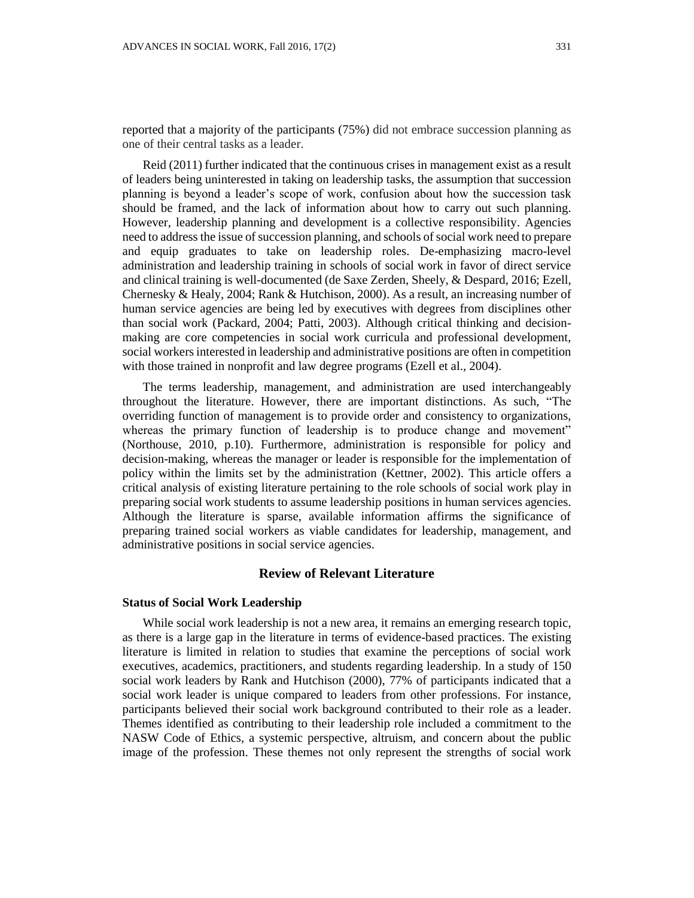reported that a majority of the participants (75%) did not embrace succession planning as one of their central tasks as a leader.

Reid (2011) further indicated that the continuous crises in management exist as a result of leaders being uninterested in taking on leadership tasks, the assumption that succession planning is beyond a leader's scope of work, confusion about how the succession task should be framed, and the lack of information about how to carry out such planning. However, leadership planning and development is a collective responsibility. Agencies need to address the issue of succession planning, and schools of social work need to prepare and equip graduates to take on leadership roles. De-emphasizing macro-level administration and leadership training in schools of social work in favor of direct service and clinical training is well-documented (de Saxe Zerden, Sheely, & Despard, 2016; Ezell, Chernesky & Healy, 2004; Rank & Hutchison, 2000). As a result, an increasing number of human service agencies are being led by executives with degrees from disciplines other than social work (Packard, 2004; Patti, 2003). Although critical thinking and decisionmaking are core competencies in social work curricula and professional development, social workers interested in leadership and administrative positions are often in competition with those trained in nonprofit and law degree programs (Ezell et al., 2004).

The terms leadership, management, and administration are used interchangeably throughout the literature. However, there are important distinctions. As such, "The overriding function of management is to provide order and consistency to organizations, whereas the primary function of leadership is to produce change and movement" (Northouse, 2010, p.10). Furthermore, administration is responsible for policy and decision-making, whereas the manager or leader is responsible for the implementation of policy within the limits set by the administration (Kettner, 2002). This article offers a critical analysis of existing literature pertaining to the role schools of social work play in preparing social work students to assume leadership positions in human services agencies. Although the literature is sparse, available information affirms the significance of preparing trained social workers as viable candidates for leadership, management, and administrative positions in social service agencies.

## **Review of Relevant Literature**

## **Status of Social Work Leadership**

While social work leadership is not a new area, it remains an emerging research topic, as there is a large gap in the literature in terms of evidence-based practices. The existing literature is limited in relation to studies that examine the perceptions of social work executives, academics, practitioners, and students regarding leadership. In a study of 150 social work leaders by Rank and Hutchison (2000), 77% of participants indicated that a social work leader is unique compared to leaders from other professions. For instance, participants believed their social work background contributed to their role as a leader. Themes identified as contributing to their leadership role included a commitment to the NASW Code of Ethics, a systemic perspective, altruism, and concern about the public image of the profession. These themes not only represent the strengths of social work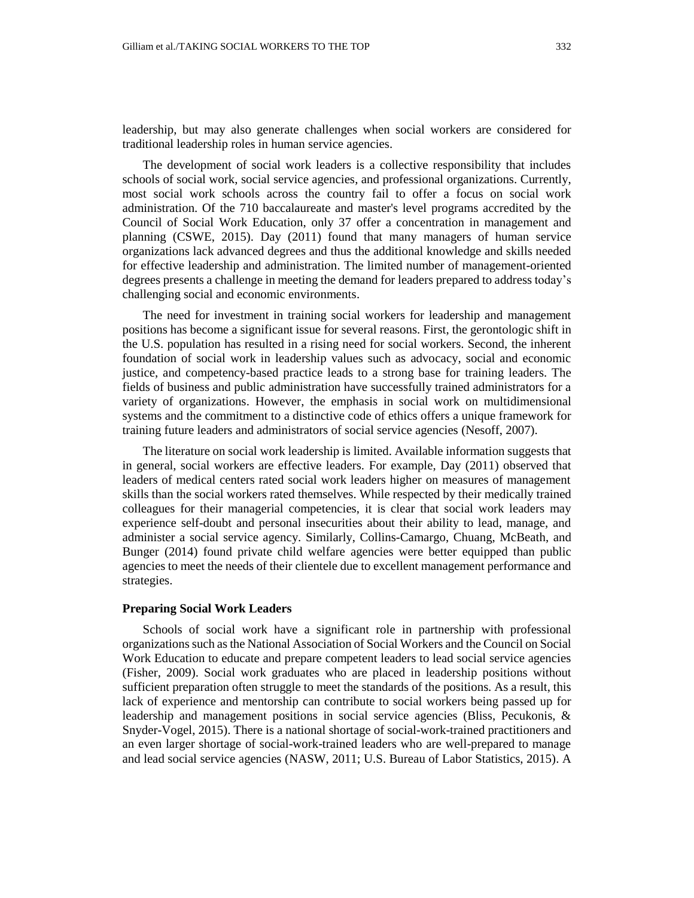leadership, but may also generate challenges when social workers are considered for traditional leadership roles in human service agencies.

The development of social work leaders is a collective responsibility that includes schools of social work, social service agencies, and professional organizations. Currently, most social work schools across the country fail to offer a focus on social work administration. Of the 710 baccalaureate and master's level programs accredited by the Council of Social Work Education, only 37 offer a concentration in management and planning (CSWE, 2015). Day (2011) found that many managers of human service organizations lack advanced degrees and thus the additional knowledge and skills needed for effective leadership and administration. The limited number of management-oriented degrees presents a challenge in meeting the demand for leaders prepared to address today's challenging social and economic environments.

The need for investment in training social workers for leadership and management positions has become a significant issue for several reasons. First, the gerontologic shift in the U.S. population has resulted in a rising need for social workers. Second, the inherent foundation of social work in leadership values such as advocacy, social and economic justice, and competency-based practice leads to a strong base for training leaders. The fields of business and public administration have successfully trained administrators for a variety of organizations. However, the emphasis in social work on multidimensional systems and the commitment to a distinctive code of ethics offers a unique framework for training future leaders and administrators of social service agencies (Nesoff, 2007).

The literature on social work leadership is limited. Available information suggests that in general, social workers are effective leaders. For example, Day (2011) observed that leaders of medical centers rated social work leaders higher on measures of management skills than the social workers rated themselves. While respected by their medically trained colleagues for their managerial competencies, it is clear that social work leaders may experience self-doubt and personal insecurities about their ability to lead, manage, and administer a social service agency. Similarly, Collins-Camargo, Chuang, McBeath, and Bunger (2014) found private child welfare agencies were better equipped than public agencies to meet the needs of their clientele due to excellent management performance and strategies.

## **Preparing Social Work Leaders**

Schools of social work have a significant role in partnership with professional organizations such as the National Association of Social Workers and the Council on Social Work Education to educate and prepare competent leaders to lead social service agencies (Fisher, 2009). Social work graduates who are placed in leadership positions without sufficient preparation often struggle to meet the standards of the positions. As a result, this lack of experience and mentorship can contribute to social workers being passed up for leadership and management positions in social service agencies (Bliss, Pecukonis, & Snyder-Vogel, 2015). There is a national shortage of social-work-trained practitioners and an even larger shortage of social-work-trained leaders who are well-prepared to manage and lead social service agencies (NASW, 2011; U.S. Bureau of Labor Statistics, 2015). A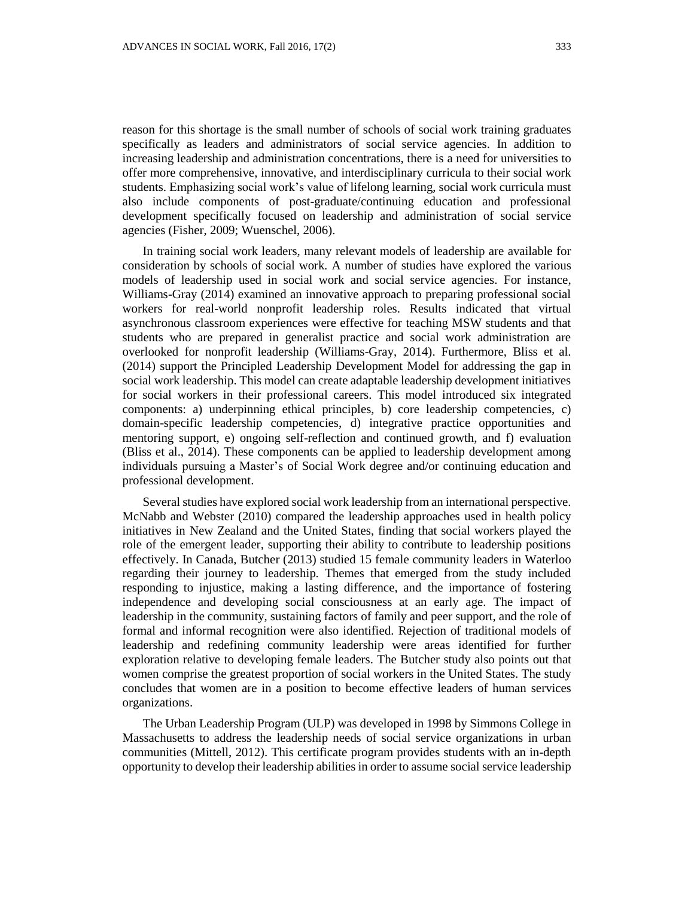reason for this shortage is the small number of schools of social work training graduates specifically as leaders and administrators of social service agencies. In addition to increasing leadership and administration concentrations, there is a need for universities to offer more comprehensive, innovative, and interdisciplinary curricula to their social work students. Emphasizing social work's value of lifelong learning, social work curricula must also include components of post-graduate/continuing education and professional development specifically focused on leadership and administration of social service agencies (Fisher, 2009; Wuenschel, 2006).

In training social work leaders, many relevant models of leadership are available for consideration by schools of social work. A number of studies have explored the various models of leadership used in social work and social service agencies. For instance, Williams-Gray (2014) examined an innovative approach to preparing professional social workers for real-world nonprofit leadership roles. Results indicated that virtual asynchronous classroom experiences were effective for teaching MSW students and that students who are prepared in generalist practice and social work administration are overlooked for nonprofit leadership (Williams-Gray, 2014). Furthermore, Bliss et al. (2014) support the Principled Leadership Development Model for addressing the gap in social work leadership. This model can create adaptable leadership development initiatives for social workers in their professional careers. This model introduced six integrated components: a) underpinning ethical principles, b) core leadership competencies, c) domain-specific leadership competencies, d) integrative practice opportunities and mentoring support, e) ongoing self-reflection and continued growth, and f) evaluation (Bliss et al., 2014). These components can be applied to leadership development among individuals pursuing a Master's of Social Work degree and/or continuing education and professional development.

Several studies have explored social work leadership from an international perspective. McNabb and Webster (2010) compared the leadership approaches used in health policy initiatives in New Zealand and the United States, finding that social workers played the role of the emergent leader, supporting their ability to contribute to leadership positions effectively. In Canada, Butcher (2013) studied 15 female community leaders in Waterloo regarding their journey to leadership. Themes that emerged from the study included responding to injustice, making a lasting difference, and the importance of fostering independence and developing social consciousness at an early age. The impact of leadership in the community, sustaining factors of family and peer support, and the role of formal and informal recognition were also identified. Rejection of traditional models of leadership and redefining community leadership were areas identified for further exploration relative to developing female leaders. The Butcher study also points out that women comprise the greatest proportion of social workers in the United States. The study concludes that women are in a position to become effective leaders of human services organizations.

The Urban Leadership Program (ULP) was developed in 1998 by Simmons College in Massachusetts to address the leadership needs of social service organizations in urban communities (Mittell, 2012). This certificate program provides students with an in-depth opportunity to develop their leadership abilities in order to assume social service leadership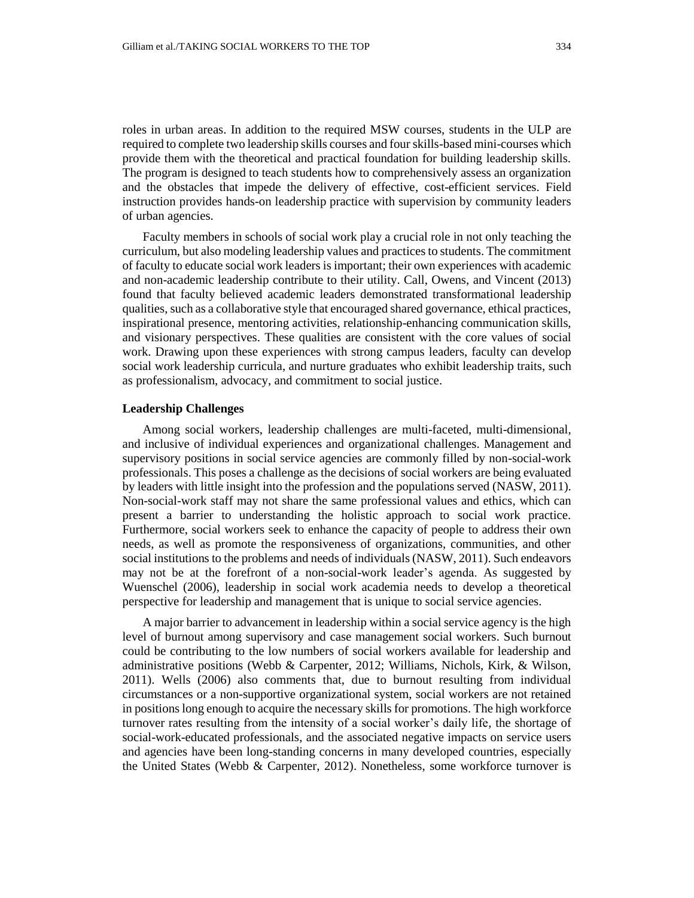roles in urban areas. In addition to the required MSW courses, students in the ULP are required to complete two leadership skills courses and four skills-based mini-courses which provide them with the theoretical and practical foundation for building leadership skills. The program is designed to teach students how to comprehensively assess an organization and the obstacles that impede the delivery of effective, cost-efficient services. Field instruction provides hands-on leadership practice with supervision by community leaders of urban agencies.

Faculty members in schools of social work play a crucial role in not only teaching the curriculum, but also modeling leadership values and practices to students. The commitment of faculty to educate social work leaders is important; their own experiences with academic and non-academic leadership contribute to their utility. Call, Owens, and Vincent (2013) found that faculty believed academic leaders demonstrated transformational leadership qualities, such as a collaborative style that encouraged shared governance, ethical practices, inspirational presence, mentoring activities, relationship-enhancing communication skills, and visionary perspectives. These qualities are consistent with the core values of social work. Drawing upon these experiences with strong campus leaders, faculty can develop social work leadership curricula, and nurture graduates who exhibit leadership traits, such as professionalism, advocacy, and commitment to social justice.

#### **Leadership Challenges**

Among social workers, leadership challenges are multi-faceted, multi-dimensional, and inclusive of individual experiences and organizational challenges. Management and supervisory positions in social service agencies are commonly filled by non-social-work professionals. This poses a challenge as the decisions of social workers are being evaluated by leaders with little insight into the profession and the populations served (NASW, 2011). Non-social-work staff may not share the same professional values and ethics, which can present a barrier to understanding the holistic approach to social work practice. Furthermore, social workers seek to enhance the capacity of people to address their own needs, as well as promote the responsiveness of organizations, communities, and other social institutions to the problems and needs of individuals (NASW, 2011). Such endeavors may not be at the forefront of a non-social-work leader's agenda. As suggested by Wuenschel (2006), leadership in social work academia needs to develop a theoretical perspective for leadership and management that is unique to social service agencies.

A major barrier to advancement in leadership within a social service agency is the high level of burnout among supervisory and case management social workers. Such burnout could be contributing to the low numbers of social workers available for leadership and administrative positions (Webb & Carpenter, 2012; Williams, Nichols, Kirk, & Wilson, 2011). Wells (2006) also comments that, due to burnout resulting from individual circumstances or a non-supportive organizational system, social workers are not retained in positions long enough to acquire the necessary skills for promotions. The high workforce turnover rates resulting from the intensity of a social worker's daily life, the shortage of social-work-educated professionals, and the associated negative impacts on service users and agencies have been long-standing concerns in many developed countries, especially the United States (Webb & Carpenter, 2012). Nonetheless, some workforce turnover is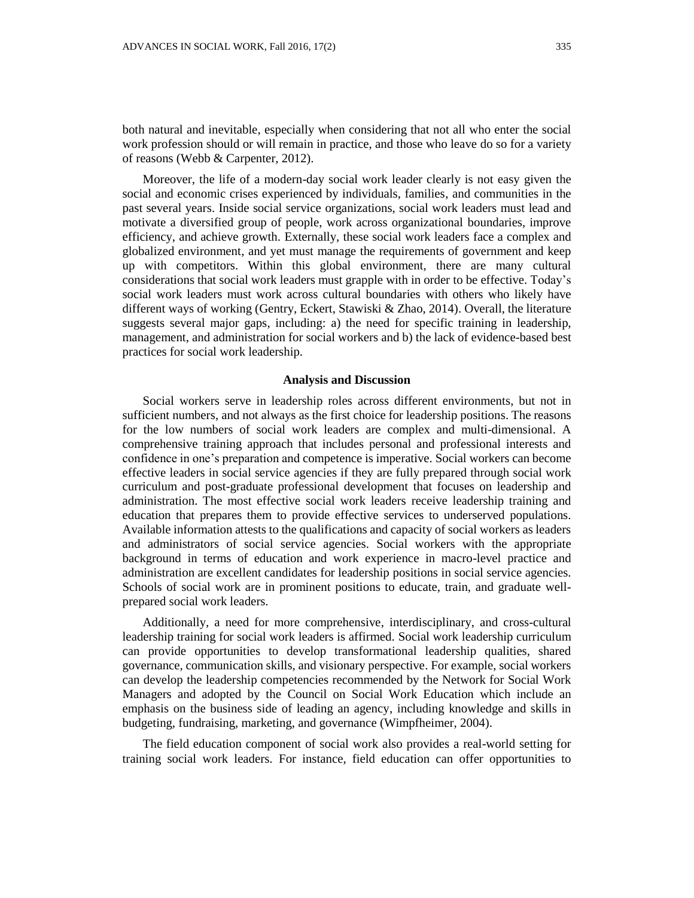both natural and inevitable, especially when considering that not all who enter the social work profession should or will remain in practice, and those who leave do so for a variety of reasons (Webb & Carpenter, 2012).

Moreover, the life of a modern-day social work leader clearly is not easy given the social and economic crises experienced by individuals, families, and communities in the past several years. Inside social service organizations, social work leaders must lead and motivate a diversified group of people, work across organizational boundaries, improve efficiency, and achieve growth. Externally, these social work leaders face a complex and globalized environment, and yet must manage the requirements of government and keep up with competitors. Within this global environment, there are many cultural considerations that social work leaders must grapple with in order to be effective. Today's social work leaders must work across cultural boundaries with others who likely have different ways of working (Gentry, Eckert, Stawiski & Zhao, 2014). Overall, the literature suggests several major gaps, including: a) the need for specific training in leadership, management, and administration for social workers and b) the lack of evidence-based best practices for social work leadership.

## **Analysis and Discussion**

Social workers serve in leadership roles across different environments, but not in sufficient numbers, and not always as the first choice for leadership positions. The reasons for the low numbers of social work leaders are complex and multi-dimensional. A comprehensive training approach that includes personal and professional interests and confidence in one's preparation and competence is imperative. Social workers can become effective leaders in social service agencies if they are fully prepared through social work curriculum and post-graduate professional development that focuses on leadership and administration. The most effective social work leaders receive leadership training and education that prepares them to provide effective services to underserved populations. Available information attests to the qualifications and capacity of social workers as leaders and administrators of social service agencies. Social workers with the appropriate background in terms of education and work experience in macro-level practice and administration are excellent candidates for leadership positions in social service agencies. Schools of social work are in prominent positions to educate, train, and graduate wellprepared social work leaders.

Additionally, a need for more comprehensive, interdisciplinary, and cross-cultural leadership training for social work leaders is affirmed. Social work leadership curriculum can provide opportunities to develop transformational leadership qualities, shared governance, communication skills, and visionary perspective. For example, social workers can develop the leadership competencies recommended by the Network for Social Work Managers and adopted by the Council on Social Work Education which include an emphasis on the business side of leading an agency, including knowledge and skills in budgeting, fundraising, marketing, and governance (Wimpfheimer, 2004).

The field education component of social work also provides a real-world setting for training social work leaders. For instance, field education can offer opportunities to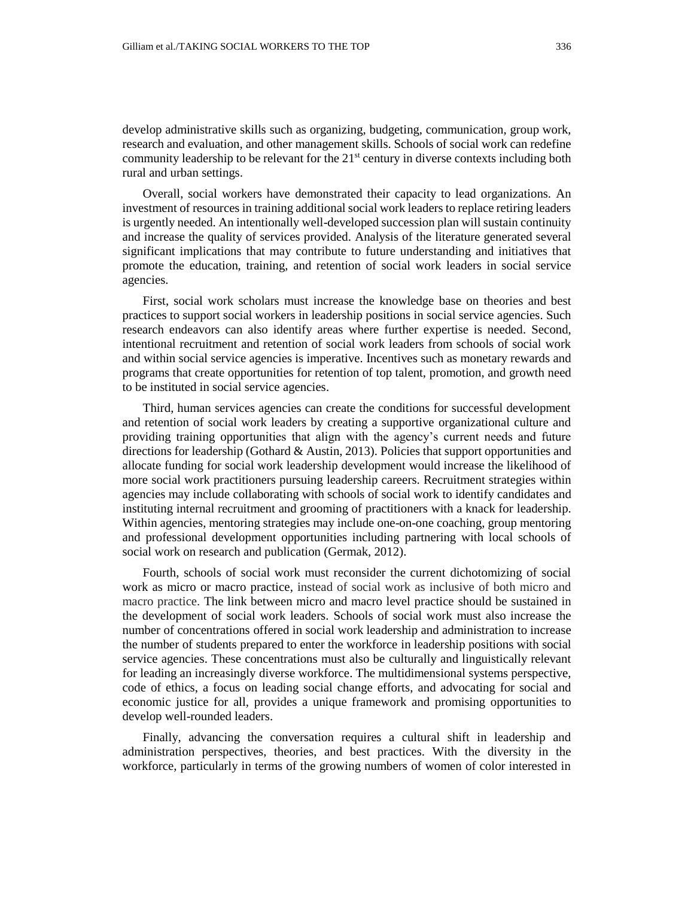Overall, social workers have demonstrated their capacity to lead organizations. An investment of resources in training additional social work leaders to replace retiring leaders is urgently needed. An intentionally well-developed succession plan will sustain continuity and increase the quality of services provided. Analysis of the literature generated several significant implications that may contribute to future understanding and initiatives that promote the education, training, and retention of social work leaders in social service agencies.

First, social work scholars must increase the knowledge base on theories and best practices to support social workers in leadership positions in social service agencies. Such research endeavors can also identify areas where further expertise is needed. Second, intentional recruitment and retention of social work leaders from schools of social work and within social service agencies is imperative. Incentives such as monetary rewards and programs that create opportunities for retention of top talent, promotion, and growth need to be instituted in social service agencies.

Third, human services agencies can create the conditions for successful development and retention of social work leaders by creating a supportive organizational culture and providing training opportunities that align with the agency's current needs and future directions for leadership (Gothard & Austin, 2013). Policies that support opportunities and allocate funding for social work leadership development would increase the likelihood of more social work practitioners pursuing leadership careers. Recruitment strategies within agencies may include collaborating with schools of social work to identify candidates and instituting internal recruitment and grooming of practitioners with a knack for leadership. Within agencies, mentoring strategies may include one-on-one coaching, group mentoring and professional development opportunities including partnering with local schools of social work on research and publication (Germak, 2012).

Fourth, schools of social work must reconsider the current dichotomizing of social work as micro or macro practice, instead of social work as inclusive of both micro and macro practice. The link between micro and macro level practice should be sustained in the development of social work leaders. Schools of social work must also increase the number of concentrations offered in social work leadership and administration to increase the number of students prepared to enter the workforce in leadership positions with social service agencies. These concentrations must also be culturally and linguistically relevant for leading an increasingly diverse workforce. The multidimensional systems perspective, code of ethics, a focus on leading social change efforts, and advocating for social and economic justice for all, provides a unique framework and promising opportunities to develop well-rounded leaders.

Finally, advancing the conversation requires a cultural shift in leadership and administration perspectives, theories, and best practices. With the diversity in the workforce, particularly in terms of the growing numbers of women of color interested in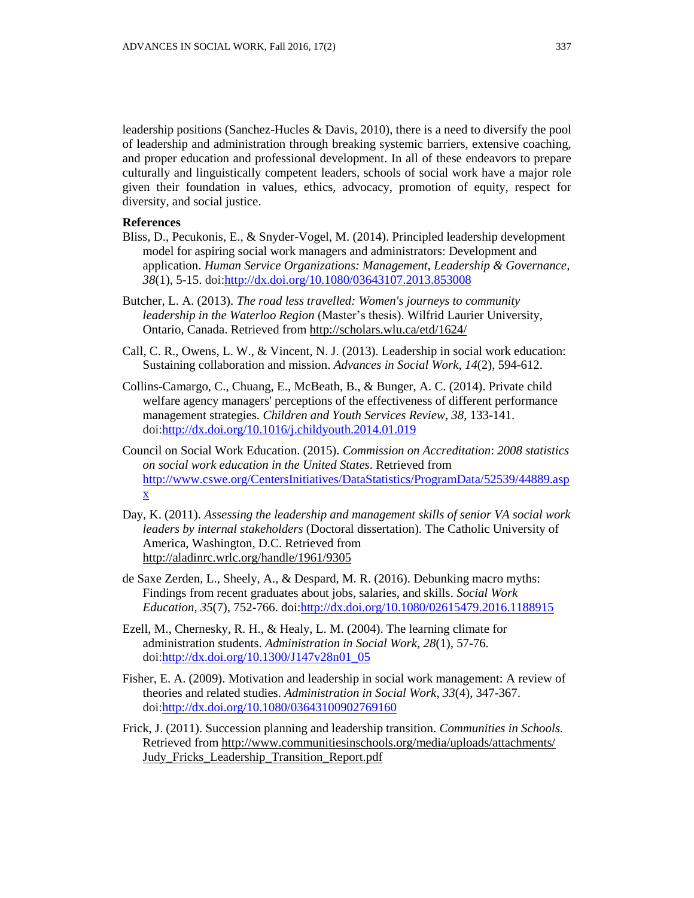leadership positions (Sanchez-Hucles & Davis, 2010), there is a need to diversify the pool of leadership and administration through breaking systemic barriers, extensive coaching, and proper education and professional development. In all of these endeavors to prepare culturally and linguistically competent leaders, schools of social work have a major role given their foundation in values, ethics, advocacy, promotion of equity, respect for diversity, and social justice.

## **References**

- Bliss, D., Pecukonis, E., & Snyder-Vogel, M. (2014). Principled leadership development model for aspiring social work managers and administrators: Development and application. *Human Service Organizations: Management, Leadership & Governance, 38*(1), 5-15. doi[:http://dx.doi.org/10.1080/03643107.2013.853008](http://dx.doi.org/10.1080/03643107.2013.853008)
- Butcher, L. A. (2013). *The road less travelled: Women's journeys to community leadership in the Waterloo Region* (Master's thesis). Wilfrid Laurier University, Ontario, Canada. Retrieved from <http://scholars.wlu.ca/etd/1624/>
- Call, C. R., Owens, L. W., & Vincent, N. J. (2013). Leadership in social work education: Sustaining collaboration and mission. *Advances in Social Work, 14*(2), 594-612.
- Collins-Camargo, C., Chuang, E., McBeath, B., & Bunger, A. C. (2014). Private child welfare agency managers' perceptions of the effectiveness of different performance management strategies. *Children and Youth Services Review*, *38*, 133-141. doi[:http://dx.doi.org/10.1016/j.childyouth.2014.01.019](http://dx.doi.org/10.1016/j.childyouth.2014.01.019)
- Council on Social Work Education. (2015). *Commission on Accreditation*: *2008 statistics on social work education in the United States*. Retrieved from [http://www.cswe.org/CentersInitiatives/DataStatistics/ProgramData/52539/44889.asp](http://www.cswe.org/CentersInitiatives/DataStatistics/ProgramData/52539/44889.aspx) [x](http://www.cswe.org/CentersInitiatives/DataStatistics/ProgramData/52539/44889.aspx)
- Day, K. (2011). *Assessing the leadership and management skills of senior VA social work leaders by internal stakeholders* (Doctoral dissertation). The Catholic University of America, Washington, D.C. Retrieved from <http://aladinrc.wrlc.org/handle/1961/9305>
- de Saxe Zerden, L., Sheely, A., & Despard, M. R. (2016). Debunking macro myths: Findings from recent graduates about jobs, salaries, and skills. *Social Work Education, 35*(7), 752-766. doi[:http://dx.doi.org/10.1080/02615479.2016.1188915](http://dx.doi.org/10.1080/02615479.2016.1188915)
- Ezell, M., Chernesky, R. H., & Healy, L. M. (2004). The learning climate for administration students. *Administration in Social Work*, *28*(1), 57-76. doi[:http://dx.doi.org/10.1300/J147v28n01\\_05](http://dx.doi.org/10.1300/J147v28n01_05)
- Fisher, E. A. (2009). Motivation and leadership in social work management: A review of theories and related studies. *Administration in Social Work, 33*(4), 347-367. doi[:http://dx.doi.org/10.1080/03643100902769160](http://dx.doi.org/10.1080/03643100902769160)
- Frick, J. (2011). Succession planning and leadership transition. *Communities in Schools.*  Retrieved fro[m http://www.communitiesinschools.org/media/uploads/attachments/](http://www.communitiesinschools.org/media/uploads/attachments/) Judy\_Fricks\_Leadership\_Transition\_Report.pdf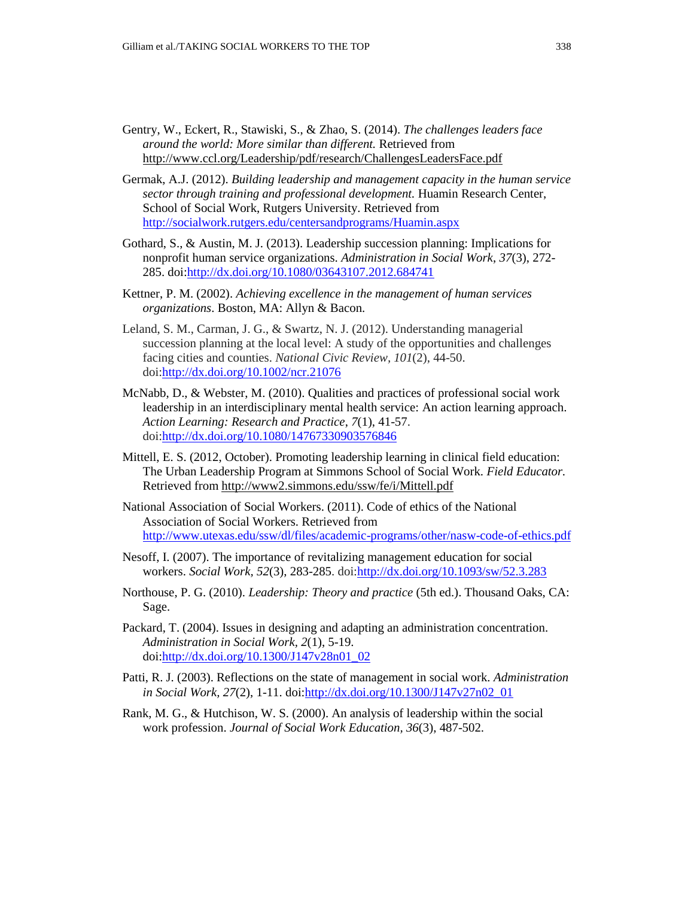- Gentry, W., Eckert, R., Stawiski, S., & Zhao, S. (2014). *The challenges leaders face around the world: More similar than different.* Retrieved from <http://www.ccl.org/Leadership/pdf/research/ChallengesLeadersFace.pdf>
- Germak, A.J. (2012). *Building leadership and management capacity in the human service sector through training and professional development.* Huamin Research Center, School of Social Work, Rutgers University. Retrieved from <http://socialwork.rutgers.edu/centersandprograms/Huamin.aspx>
- Gothard, S., & Austin, M. J. (2013). Leadership succession planning: Implications for nonprofit human service organizations. *Administration in Social Work*, *37*(3), 272- 285. doi[:http://dx.doi.org/10.1080/03643107.2012.684741](http://dx.doi.org/10.1080/03643107.2012.684741)
- Kettner, P. M. (2002). *Achieving excellence in the management of human services organizations*. Boston, MA: Allyn & Bacon.
- Leland, S. M., Carman, J. G., & Swartz, N. J. (2012). Understanding managerial succession planning at the local level: A study of the opportunities and challenges facing cities and counties. *National Civic Review, 101*(2), 44-50. doi[:http://dx.doi.org/10.1002/ncr.21076](http://dx.doi.org/10.1002/ncr.21076)
- McNabb, D., & Webster, M. (2010). Qualities and practices of professional social work leadership in an interdisciplinary mental health service: An action learning approach. *Action Learning: Research and Practice*, *7*(1), 41-57. doi[:http://dx.doi.org/10.1080/14767330903576846](http://dx.doi.org/10.1080/14767330903576846)
- Mittell, E. S. (2012, October). Promoting leadership learning in clinical field education: The Urban Leadership Program at Simmons School of Social Work. *Field Educator.* Retrieved fro[m http://www2.simmons.edu/ssw/fe/i/Mittell.pdf](http://www2.simmons.edu/ssw/fe/i/Mittell.pdf)
- National Association of Social Workers. (2011). Code of ethics of the National Association of Social Workers. Retrieved from <http://www.utexas.edu/ssw/dl/files/academic-programs/other/nasw-code-of-ethics.pdf>
- Nesoff, I. (2007). The importance of revitalizing management education for social workers. *Social Work, 52*(3), 283-285. doi[:http://dx.doi.org/10.1093/sw/52.3.283](http://dx.doi.org/10.1093/sw/52.3.283)
- Northouse, P. G. (2010). *Leadership: Theory and practice* (5th ed.). Thousand Oaks, CA: Sage.
- Packard, T. (2004). Issues in designing and adapting an administration concentration. *Administration in Social Work, 2*(1), 5-19. doi[:http://dx.doi.org/10.1300/J147v28n01\\_02](http://dx.doi.org/10.1300/J147v28n01_02)
- Patti, R. J. (2003). Reflections on the state of management in social work. *Administration in Social Work, 27*(2), 1-11. doi[:http://dx.doi.org/10.1300/J147v27n02\\_01](http://dx.doi.org/10.1300/J147v27n02_01)
- Rank, M. G., & Hutchison, W. S. (2000). An analysis of leadership within the social work profession. *Journal of Social Work Education, 36*(3), 487-502.